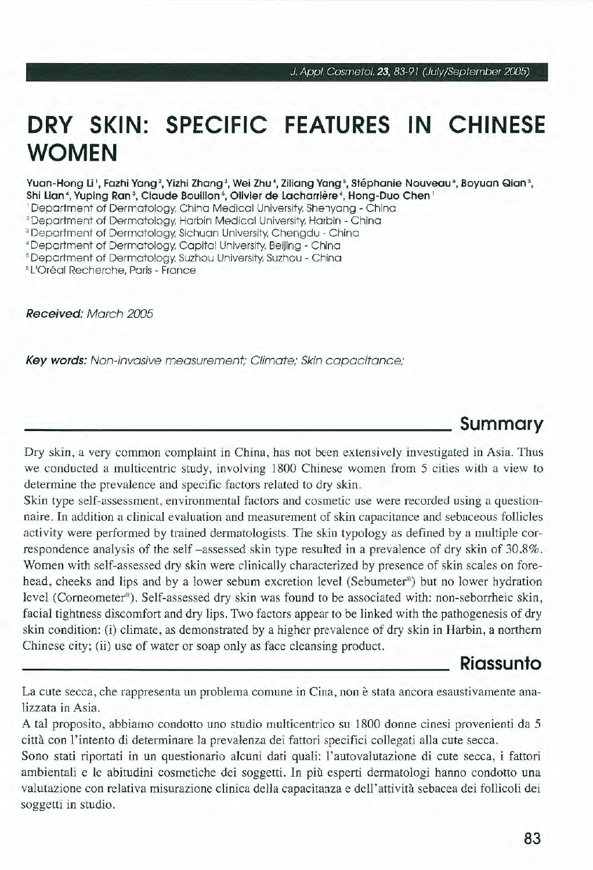# **DRY SKIN: SPECIFIC FEATURES IN CHINESE WOMEN**

**Yuan-Hong Li 1 , Fazhi Yang '. Yizhi Zhang 3, Wei Zhu ', Ziliang Yang '. Stéphanie Nouveau•, Boyuan Qian** 5. **Shi Lian', Yuping Ran 3, Claude Bouillon •, Olivier de Lacharrière•, Hong-Duo Chen'** 

' Department of Dermatology, China Medicai University, Shenyang - China

' Department of Dermatology, Harbin Medicai University, Harbin - China

<sup>3</sup>Department of Dermatology, Sichuan University, Chengdu - China

' Department of Dermatology, Capitai University, Beijing - China

• Department of Dermatology, Suzhou University, Suzhou - China

• L'Oréal Recherche, Paris - France

**Received:** March 2005

**Key words:** Non-invasive measurement; Climate; Skin capacitance;

### **Summary**

Dry skin , a very common complaint in China, has not been extensively investigated in Asia. Thus we conducted a multicentric study, involving 1800 Chinese women from 5 cities with a view to determine the prevalence and specific factors related to dry skin.

Skin type self-assessment, environmental factors and cosmetic use were recorded using a questionnaire. In addition a clinical evaluation and measurement of skin capacitance and sebaceous follicles activity were performed by trained dermatologists. The skin typology as defined by a multiple correspondence analysis of the self -assessed skin type resulted in a prevalence of dry skin of 30.8%. Women with self-assessed dry skin were clinically characterized by presence of skin scales on forehead, cheeks and lips and by a lower sebum excretion leve! (Sebumeter®) but no lower hydration level (Corneometer®). Self-assessed dry skin was found to be associated with: non-seborrheic skin, facial tightness discomfort and dry lips. Two factors appear to be linked with the pathogenesis of dry skin condition: (i) climate, as demonstrated by a higher prevalence of dry skin in Harbin, a northern Chinese city; **(ii)** use of water or soap only as face cleansing product.

#### **Riassunto**

La cute secca, che rappresenta un problema comune in Cina, non è stata ancora esaustivamente analizzata in Asia.

A tal proposito , abbiamo condotto uno studio multicentrico su 1800 donne cinesi provenienti da 5 città con l'intento di determinare la prevalenza dei fattori specifici collegati alla cute secca.

Sono stati riportati in un questionario alcuni dati quali: l'autovalutazione di cute secca , i fattori ambientali e le abitudini cosmetiche dei soggetti. In più esperti dermatologi hanno condotto una valutazione con relativa misurazione clinica della capacitanza e dell'attività sebacea dei follicoli dei soggetti in studio.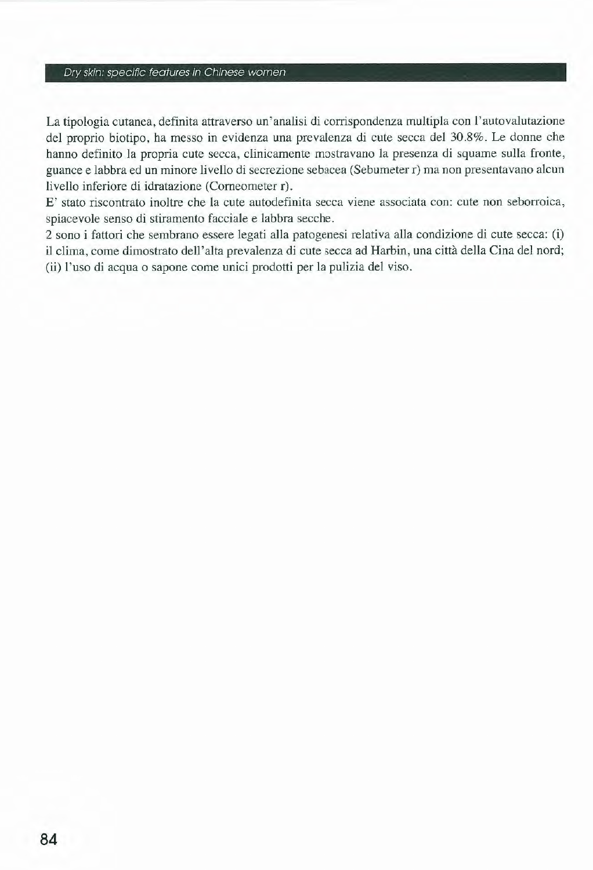#### Dry skin: specific features in Chinese women

La tipologia cutanea, definita attraverso un'analisi di corrispondenza multipla con l'autovalutazione del proprio biotipo, ha messo in evidenza una prevalenza di cute secca del 30.8%. Le donne che hanno definito la propria cute secca, clinicamente mostravano la presenza di squame sulla fronte, guance e labbra ed un minore livello di secrezione sebacea (Sebumeter r) ma non presentavano alcun livello inferiore di idratazione (Comeometer r).

E' stato riscontrato inoltre che la cute autodefinita secca viene associata con: cute non seborroica, spiacevole senso di stiramento facciale e labbra secche.

2 sono i fattori che sembrano essere legati alla patogenesi relativa alla condizione di cute secca: (i) il clima, come dimostrato dell'alta prevalenza di cute secca ad Harbin, una città della Cina del nord; (ii) l'uso di acqua o sapone come unici prodotti per la pulizia del viso.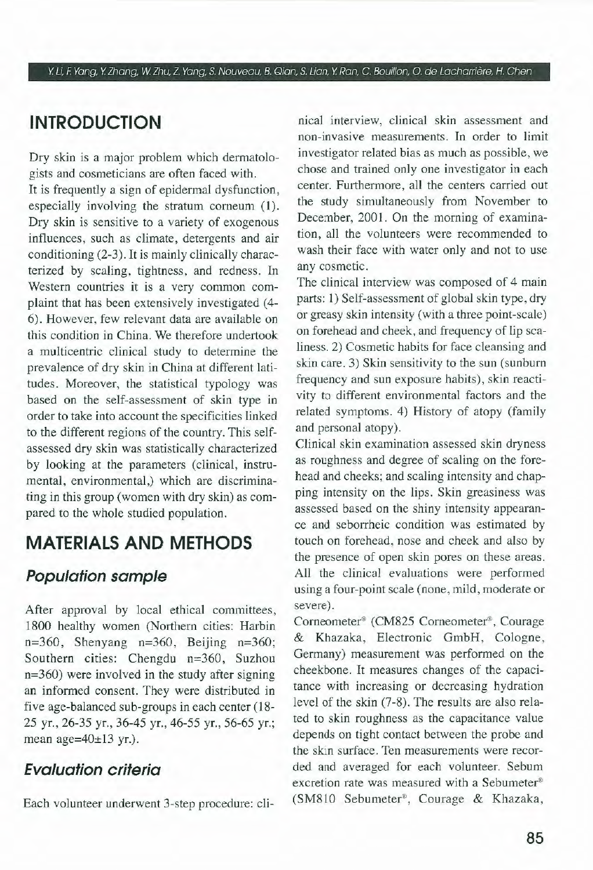Y Li, F. Yang, Y Zhang, W Zhu, *Z.* Yang, S. Nouveau, B. Qian, S. Lian, Y Ran, C. Bouillon, O. de Lacharrière, H. Chen

# **INTRODUCTION**

Dry skin is a major problem which dermatologists and cosmeticians are often faced with,

It is frequently a sign of epidermal dysfunction, especially involving the stratum corneum (1). Dry skin is sensitive to a variety of exogenous influences, such as climate, detergents and air conditioning (2-3), It is mainly clinically characterized by scaling, tightness, and redness, In Western countries it is a very common complaint that has been extensively investigated (4-6). However, few relevant data are available on this condition in China. We therefore undertook a multicentric clinical study to determine the prevalence of dry skin in China at different latitudes. Moreover, the statistical typology was based on the self-assessment of skin type in order to take into account the specificities linked to the different regions of the country. This selfassessed dry skin was statistically characterized by looking at the parameters (clinical, instrumental, environmental,) which are discriminating in this group (women with dry skin) as compared to the whole studied population.

# **MATERIALS ANO METHODS**

### **Population sample**

After approvai by locai ethical committees, 1800 healthy women (Northern cities: Harbin  $n=360$ , Shenyang  $n=360$ , Beijing  $n=360$ ; Southern cities: Chengdu n=360, Suzhou n=360) were involved in the study after signing an informed consent. They were distributed in five age-balanced sub-groups in each center (18-25 yr., 26-35 yr., 36-45 yr., 46-55 yr., 56-65 yr. ; mean age= $40\pm13$  yr.).

### **Evaluation criterio**

Each volunteer underwent 3-step procedure: cli-

nical interview, clinica! skin assessment and non-invasive measurements. In order to limit investigator related bias as much as possible, we chose and trained only one investigator in each center. Furthermore, all the centers carried out the study simultaneously from November to December, 2001. On the morning of examination, ali the volunteers were recomrnended to wash their face with water only and not to use any cosmetic.

The clinical interview was composed of 4 main parts: 1) Self-assessment of global skin type, dry or greasy skin intensity (with a three point-scale) on forehead and cheek, and frequency of lip scaliness. 2) Cosmetic habits for face cleansing and skin care. 3) Skin sensitivity to the sun (sunburn frequency and sun exposure habits), skin reactivity to different environmental factors and the related symptoms. 4) History of atopy (family and personal atopy).

Clinica! skin examination assessed skin dryness as roughness and degree of scaling on the forehead and cheeks; and scaling intensity and chapping intensity on the lips. Skin greasiness was assessed based on the shiny intensity appearance and seborrheic condition was estimated by touch on forehead, nose and cheek and also by the presence of open skin pores on these areas. Ali the clinica) evaluations were performed using a four-point scale (none, mild, moderate or severe).

Corneometer® (CM825 Corneometer®, Courage & Khazaka, Electronic GmbH, Cologne , Germany) measurement was performed on the cheekbone. It measures changes of the capacitance with increasing or decreasing hydration leve) of the skin (7-8). The results are also related to skin roughness as the capacitance value depends on tight contact between the probe and the skin surface. Ten measurements were recorded and averaged for each volunteer. Sebum excretion rate was measured with a Sebumeter® (SM810 Sebumeter®, Courage & Khazaka,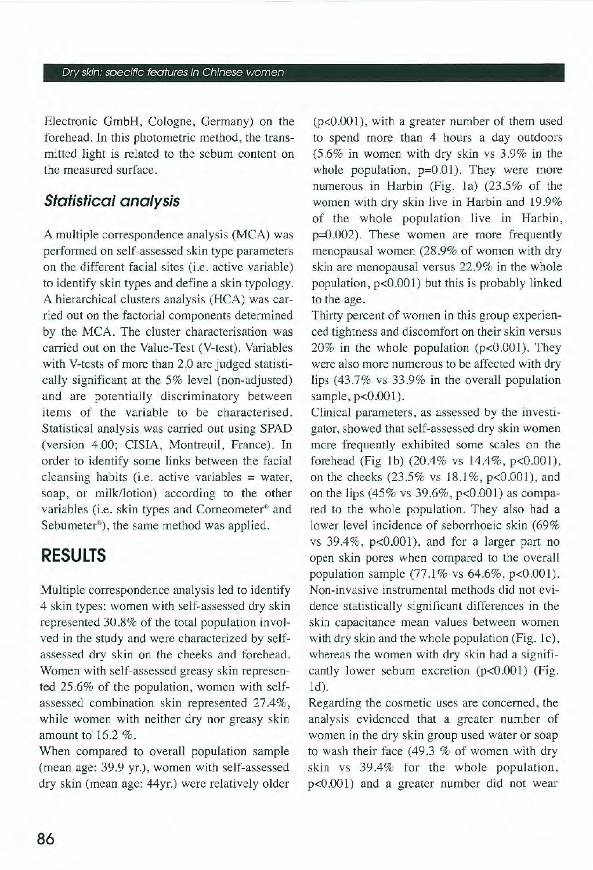Dry skin: specific features in Chinese women

Electronic GmbH, Cologne, Germany) on the forehead. In this photometric method, the transmitted light is related to the sebum content on the measured surface.

#### **Statistica/ analysis**

A multiple correspondence analysis (MCA) was performed on self-assessed skin type parameters on the different facial sites (i.e. active variable) to identify skin types and define a skin typology. A hierarchical clusters analysis (HCA) was carried out on the factorial components determined by the MCA. The cluster characterisation was carried out on the Value-Test (V-test). Variables with V-tests of more than 2.0 are judged statistically significant at the 5% level (non-adjusted) and are potentially discriminatory between items of the variable to be characterised. Statistical analysis was carried out using SPAD (version 4.00; CISIA, Montreuil, France). In order to identify some links between the facial cleansing habits (i.e. active variables = water, soap, or milk/lotion) according to the other variables (i.e. skin types and Corneometer® and Sebumeter®), the same method was applied.

# **RESULTS**

Multiple correspondence analysis led to identify 4 skin types: women with self-assessed dry skin represented 30.8% of the total population involved in the study and were characterized by selfassessed dry skin on the cheeks and forehead. Women with self-assessed greasy skin represented  $25.6\%$  of the population, women with selfassessed combination skin represented 27.4%, while women with neither dry nor greasy skin amount to  $16.2\%$ .

When compared to overall population sample (mean age: 39.9 yr.), women with self-assessed dry skin (mean age: 44yr.) were relatively older

 $(p<0.001)$ , with a greater number of them used to spend more than 4 hours a day outdoors (5.6% in women with dry skin vs 3.9% in the whole population,  $p=0.01$ ). They were more numerous in Harbin (Fig. la) (23 .5% of the women with dry skin live in Harbin and 19.9% of the whole population live in Harbin, p=0.002). These women are more frequently menopausal women (28.9% of women with dry skin are menopausal versus 22.9% in the whole population,  $p<0.001$ ) but this is probably linked to the age.

Thirty percent of women in this group experienced tightness and discomfort on their skin versus 20% in the whole population (p<0.001). They were also more numerous to be affected with dry lips (43.7% vs 33 .9% in the overall population sample,  $p<0.001$ ).

Clinica) parameters, as assessed by the investigator, showed that self-assessed dry skin women more frequently exhibited some scales on the forehead (Fig 1b)  $(20.4\% \text{ vs } 14.4\%, \text{ p} < 0.001)$ , on the cheeks  $(23.5\% \text{ vs } 18.1\%, \text{p} < 0.001)$ , and on the lips (45% vs 39.6%, p<0.001) as compared to the whole population. They also had a lower level incidence of seborrhoeic skin (69% vs  $39.4\%$ ,  $p<0.001$ ), and for a larger part no open skin pores when compared to the overall population sample (77.1% vs 64.6%, p<0.001). Non-invasive instrumental methods did not evidence statistically significant differences in the skin capacitance mean values between women with dry skin and the whole population (Fig.  $1c$ ), whereas the women with dry skin had a significantly lower sebum excretion (p<0.001) (Fig. ld).

Regarding the cosmetic uses are concerned, the analysis evidenced that a greater number of women in the dry skin group used water or soap to wash their face (49.3 % of women with dry skin vs 39.4% for the whole population, p<0.001) and a greater number did not wear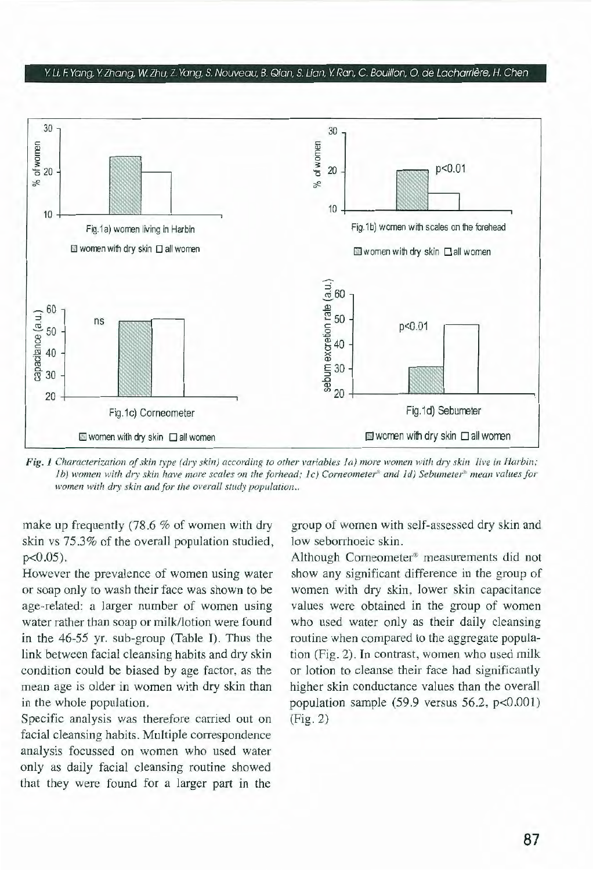#### Y. Li. F. Yang, Y. Zhang, W Zhu, Z. Yang, S. Nouveau, B. Qian, S. Lian, Y. Ran, C Bouillon, O. de Lacharrière, H. Chen



*Fig. 1 Characterization of skin type (dry skin) according to other variables Ia) more women with dry skin live in Harbin; lb)* women with dry skin have more scales on the forhead; *lc)* Corneometer<sup>®</sup> and *ld)* Sebumeter<sup>®</sup> mean values for *women with dry skin and for the overall study population..* 

make up frequently  $(78.6 %$  of women with dry skin vs 753% of the overall population studied,  $p < 0.05$ ).

However the prevalence of women using water or soap only to wash their face was shown to be age-related: a larger number of women using water rather than soap or milk/lotion were found in the 46-55 yr. sub-group (Table I). Thus the link between facial cleansing habits and dry skin condition could be biased by age factor, as the mean age is older in women with dry skin than in the whole population.

Specific analysis was therefore carried out on facial cleansing habits. Multiple correspondence analysis focussed on women who used water only as daily facial cleansing routine showed that they were found for a larger part in the

group of women with self-assessed dry skin and low seborrhoeic skin.

Although Corneometer<sup>®</sup> measurements did not show any significant difference in the group of women with dry skin, lower skin capacitance values were obtained in the group of women who used water only as their daily cleansing routine when compared to the aggregate population (Fig. 2). In contrast, women who used milk or lotion to cleanse their face had significantly higher skin conductance values than the overall population sample  $(59.9 \text{ versus } 56.2, \text{ p} < 0.001)$ (Fig. 2)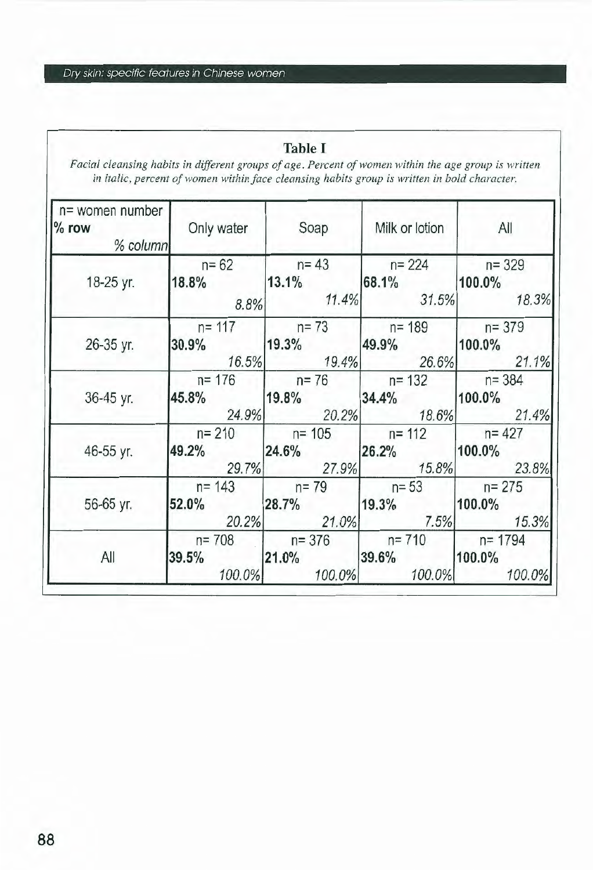#### **Table I**

*Facial cleansing habits in dijferent groups of age. Percent of women within the age group is written*  in italic, percent of women within face cleansing habits group is written in bold character.

| n= women number<br>$%$ row<br>% column | Only water | Soap               | Milk or lotion | All        |
|----------------------------------------|------------|--------------------|----------------|------------|
| 18-25 yr.                              | $n = 62$   | $n = 43$           | $n = 224$      | $n = 329$  |
|                                        | 18.8%      | 13.1%              | 68.1%          | 100.0%     |
|                                        | 8.8%       | 11.4%              | 31.5%          | 18.3%      |
| 26-35 yr.                              | $n = 117$  | $n = 73$           | $n = 189$      | $n = 379$  |
|                                        | 30.9%      | 19.3%              | 49.9%          | 100.0%     |
|                                        | 16.5%      | 19.4%              | 26.6%          | 21.1%      |
| 36-45 yr.                              | $n = 176$  | $n = 76$ $n = 132$ |                | $n = 384$  |
|                                        | 45.8%      | 19.8%              | 34.4%          | 100.0%     |
|                                        | 24.9%      | 20.2%              | 18.6%          | 21.4%      |
| 46-55 yr.                              | $n = 210$  | $n = 105$          | $n = 112$      | $n = 427$  |
|                                        | 49.2%      | 24.6%              | 26.2%          | 100.0%     |
|                                        | 29.7%      | 27.9%              | 15.8%          | 23.8%      |
| 56-65 yr.                              | $n = 143$  | $n = 79$           | $n = 53$       | $n = 275$  |
|                                        | 52.0%      | 28.7%              | 19.3%          | 100.0%     |
|                                        | 20.2%      | 21.0%              | 7.5%           | 15.3%      |
| All                                    | $n = 708$  | $n = 376$          | $n = 710$      | $n = 1794$ |
|                                        | 39.5%      | 21.0%              | 39.6%          | 100.0%     |
|                                        | 100.0%     | 100.0%             | 100.0%         | 100.0%     |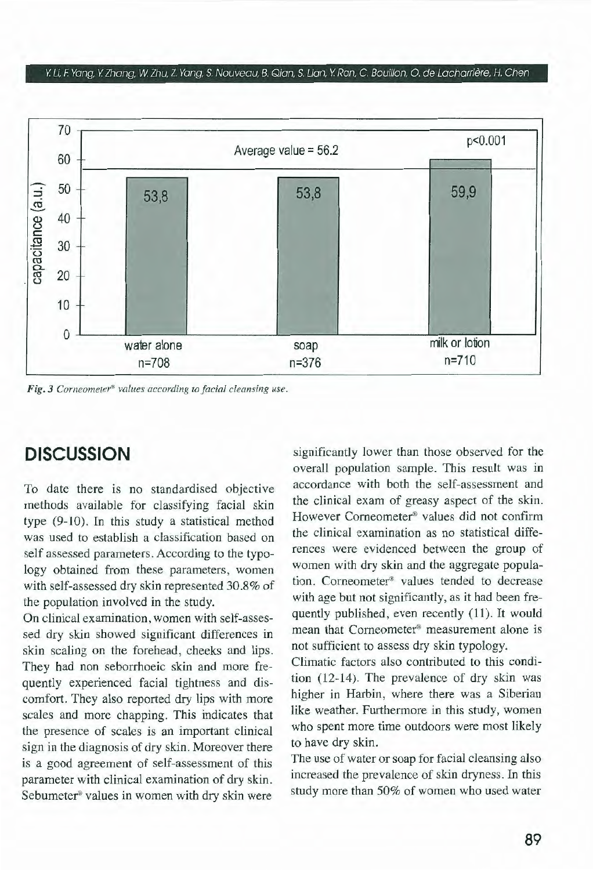#### Y Li. F. Yang. Y lhang. W Zhu. *l.* Yang. S. Nouveau. B. Qian. S. Lian, Y Ran. C. Bouillon. O. de Lacharrière. H. Chen



Fig. 3 Corneometer<sup>®</sup> values according to facial cleansing use.

# **DISCUSSION**

To date there is no standardised objective methods available for classifying facial skin type (9-10). In this study a statistical method was used to establish a classification based on self assessed parameters. According to the typology obtained from these parameters, women with self-assessed dry skin represented 30.8% of the population involved in the study.

On clinical examination, women with self-assessed dry skin showed significant differences in skin scaling on the forehead, cheeks and lips. They had non seborrhoeic skin and more frequently experienced facial tightness and discomfort. They also reported dry lips with more scales and more chapping. This indicates that the presence of scales is an important clinical sign in the diagnosis of dry skin. Moreover there is a good agreement of self-assessment of this parameter with clinical examination of dry skin. Sebumeter® values in women with dry skin were

significantly lower than those observed for the overall population sample. This result was in accordance with both the self-assessment and the clinical exam of greasy aspect of the skin. However Corneometer<sup>®</sup> values did not confirm the clinica! examination as no statistica) differences were evidenced between the group of women with dry skin and the aggregate population. Corneometer® vaJues tended to decrease with age but not significantly, as it had been frequently published, even recently (11). It would mean that Corneometer® measurement alone is not sufficient to assess dry skin typology.

Climatic factors also contributed to this condition (12-14). The prevalence of dry skin was higher in Harbin, where there was a Siberian like weather. Furthermore in this study, women who spent more time outdoors were most likely to have dry skin.

The use of water or soap for facial cleansing also increased the prevalence of skin dryness. In this study more than 50% of women who used water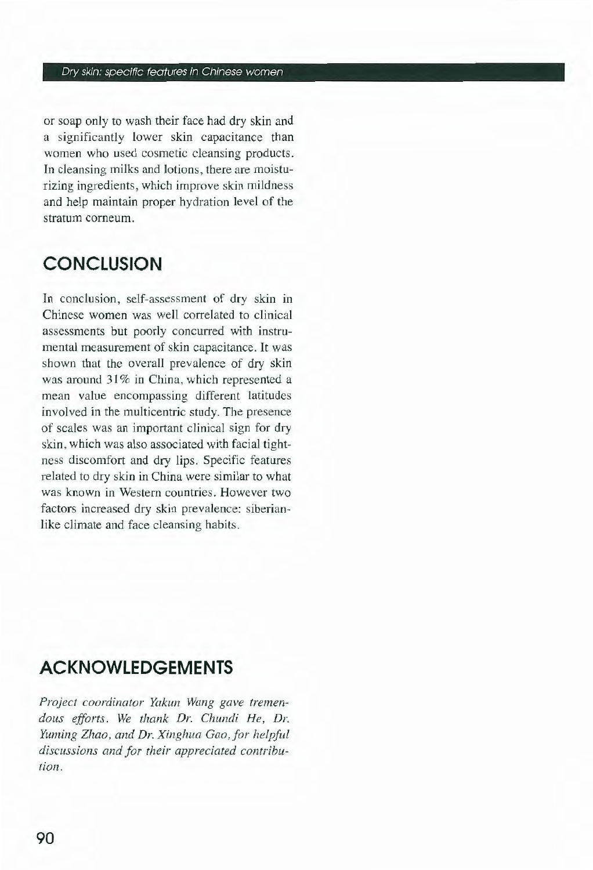or soap only to wash their face had dry skin and a significantly Jower skin capacitance than women who used cosmetic cleansing products. In cleansing milks and lotions, there are moisturizing ingredients, which improve skin mildness and help maintain proper hydration level of the stratum corneum.

# **CONCLUSION**

In conclusion, self-assessment of dry skin in Chinese women was well correlated to clinica! assessments but poorly concurred with instrumental measurement of skin capacitance. It was shown that the overall prevalence of dry skin was around 31% in China, which represented a mean value encompassing different latitudes involved in the multicentric study. The presence of scales was an important clinical sign for dry skin, which was also associated with facial tightness discomfort and dry lips. Specific features related to dry skin in China were similar to what was known in Western countries. However two factors increased dry skin prevalence: siberianlike climate and face cleansing habits.

# **ACKNOWLEDGEMENTS**

*Project coordinaror Yakun Wang gave tremendous efforts. We thank Dr. Chundi He, Dr. Yuming Zhao, and Dr. Xinghua Gao,for helpful discussions and for their appreciated contribution.*